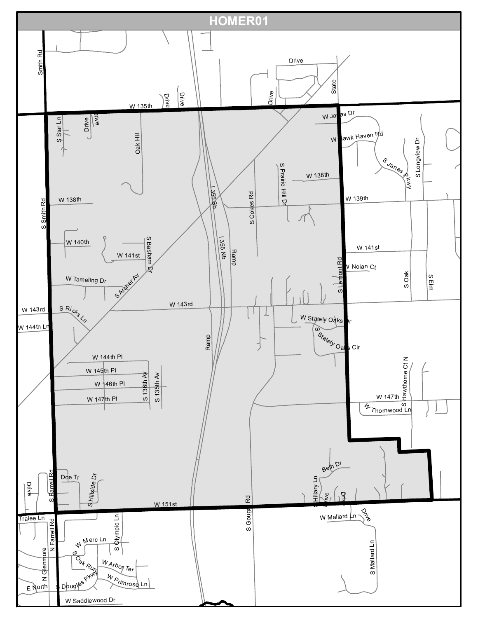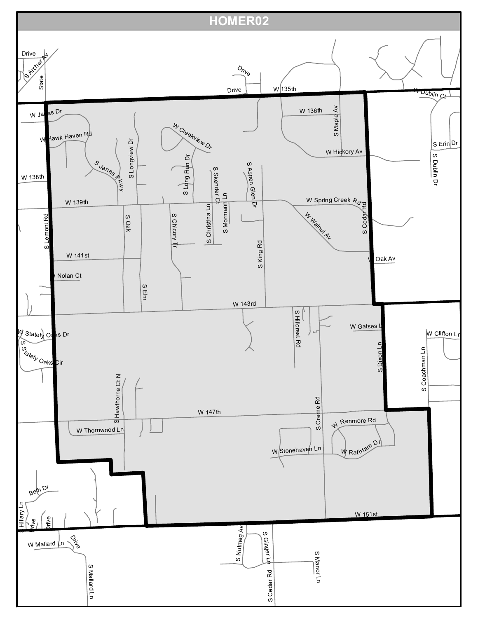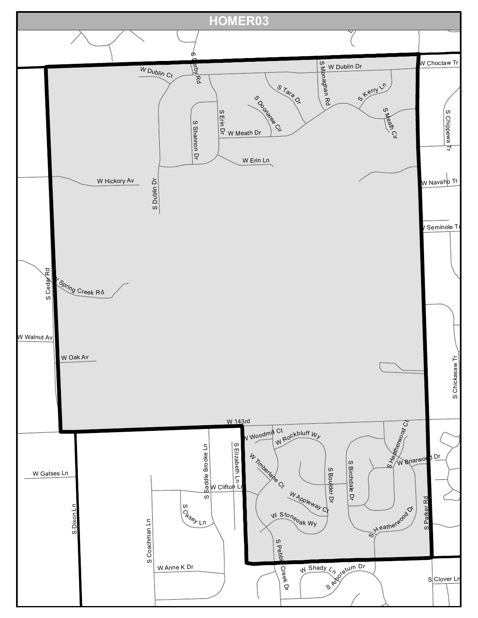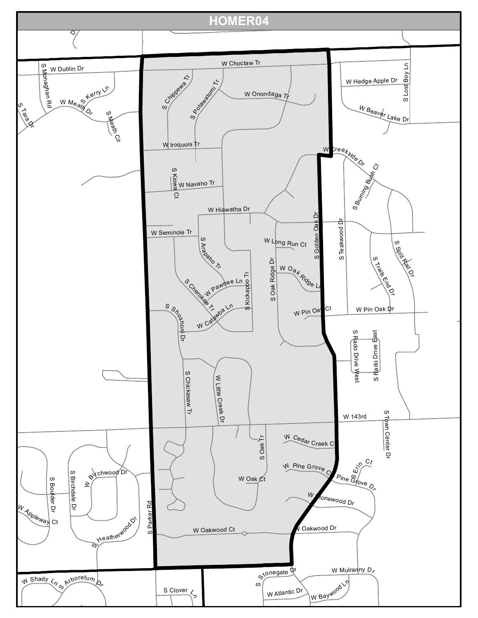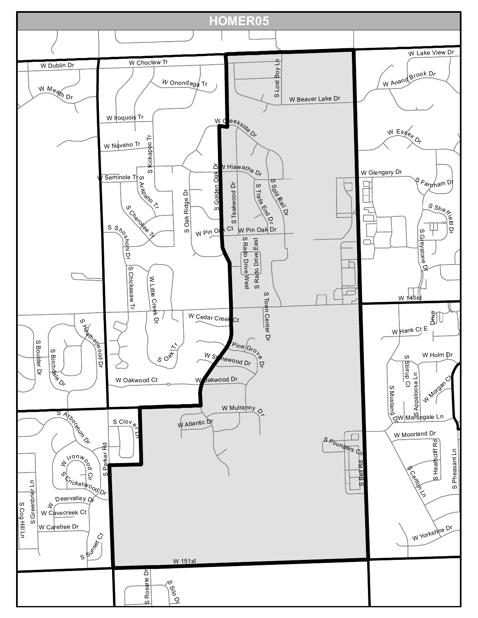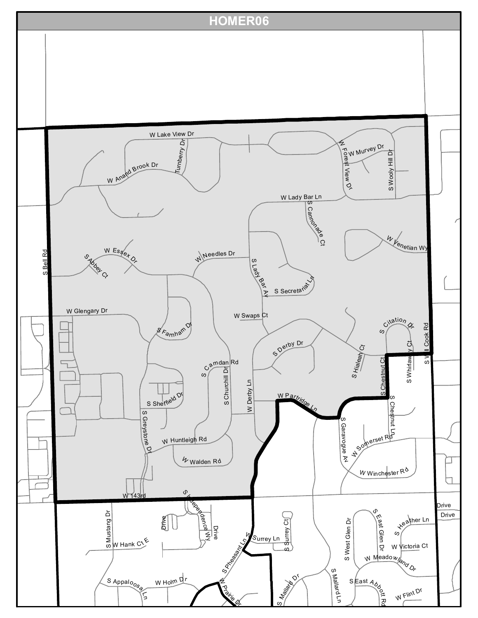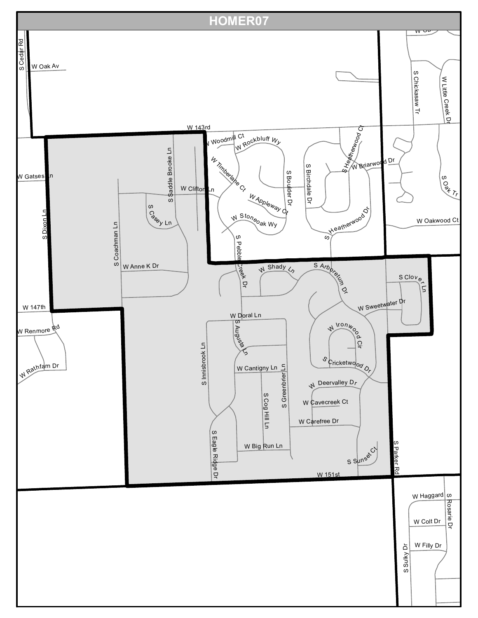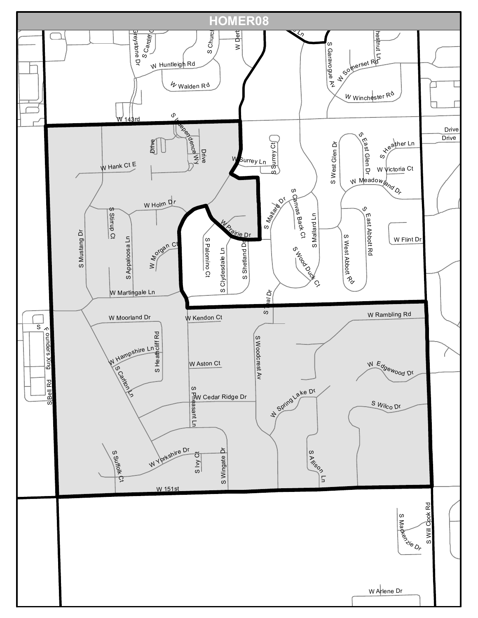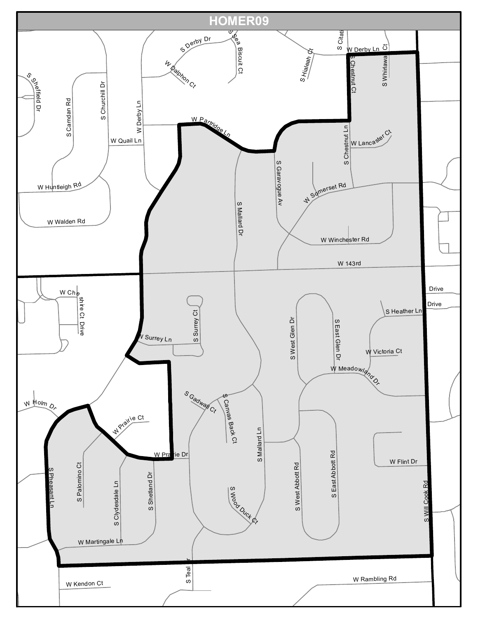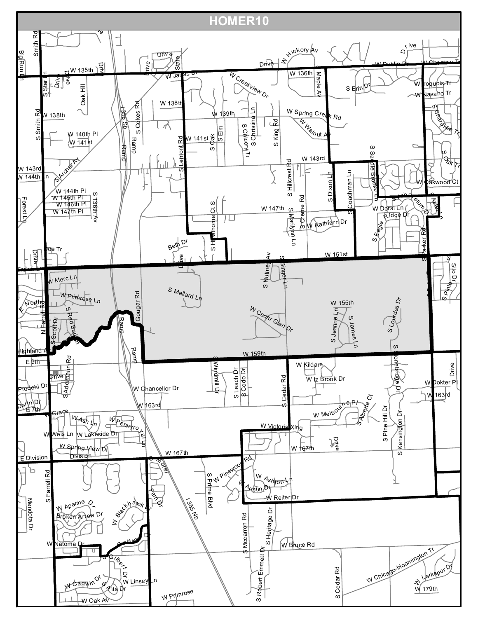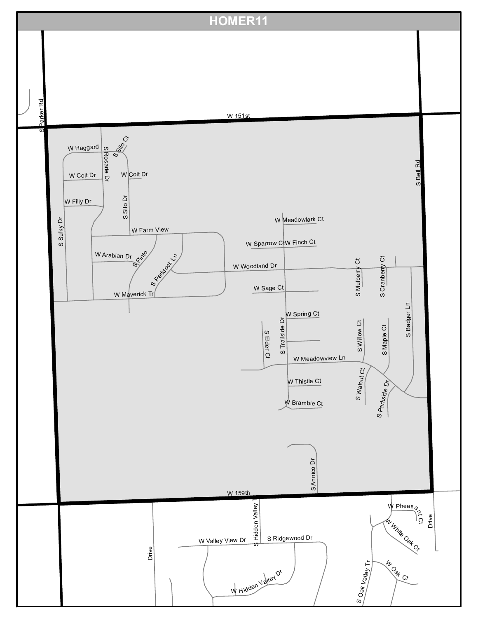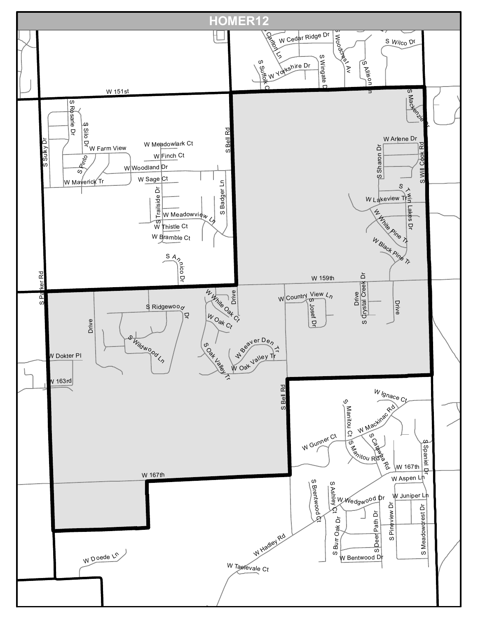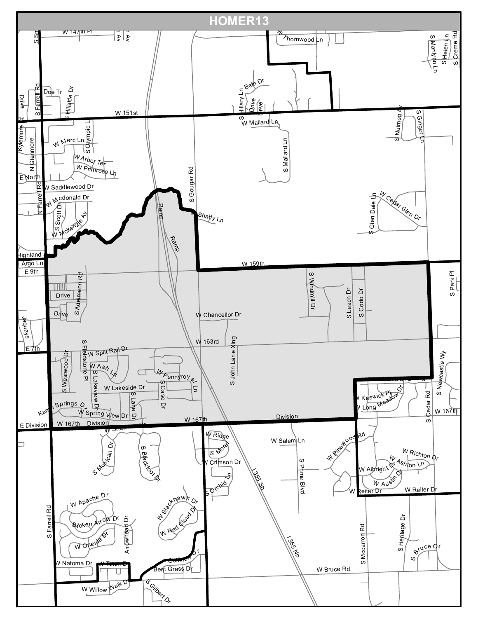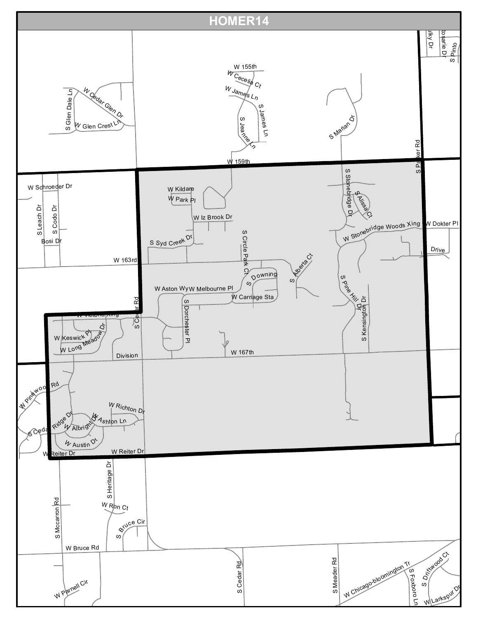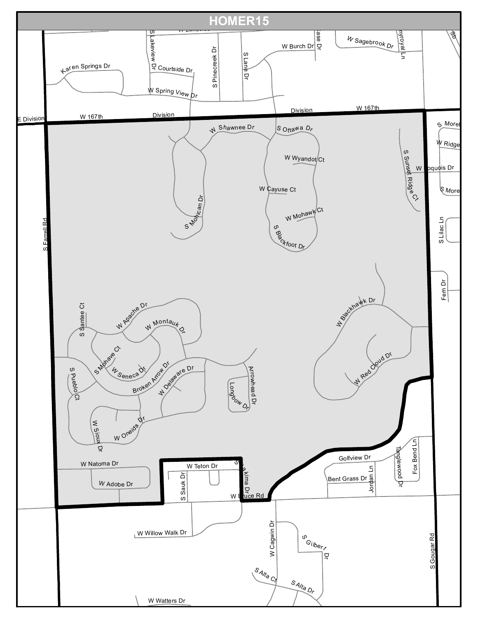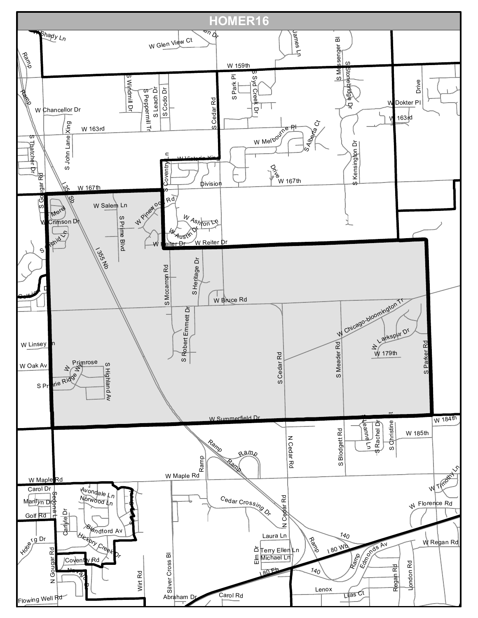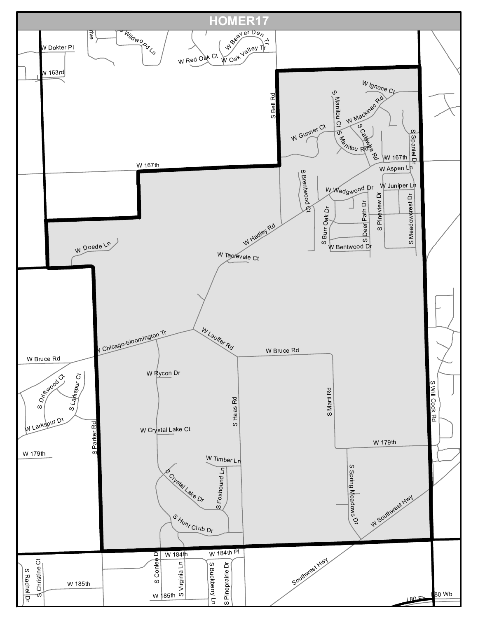